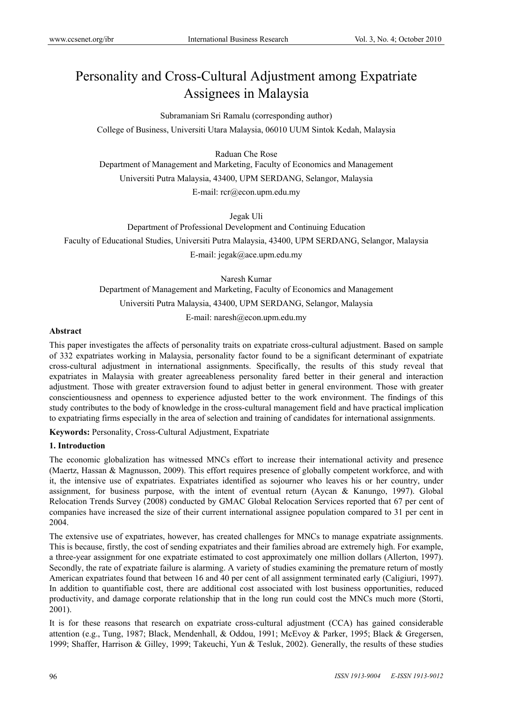# Personality and Cross-Cultural Adjustment among Expatriate Assignees in Malaysia

Subramaniam Sri Ramalu (corresponding author) College of Business, Universiti Utara Malaysia, 06010 UUM Sintok Kedah, Malaysia

Raduan Che Rose

Department of Management and Marketing, Faculty of Economics and Management Universiti Putra Malaysia, 43400, UPM SERDANG, Selangor, Malaysia E-mail: rcr@econ.upm.edu.my

Jegak Uli

Department of Professional Development and Continuing Education Faculty of Educational Studies, Universiti Putra Malaysia, 43400, UPM SERDANG, Selangor, Malaysia E-mail: jegak@ace.upm.edu.my

Naresh Kumar Department of Management and Marketing, Faculty of Economics and Management Universiti Putra Malaysia, 43400, UPM SERDANG, Selangor, Malaysia E-mail: naresh@econ.upm.edu.my

#### **Abstract**

This paper investigates the affects of personality traits on expatriate cross-cultural adjustment. Based on sample of 332 expatriates working in Malaysia, personality factor found to be a significant determinant of expatriate cross-cultural adjustment in international assignments. Specifically, the results of this study reveal that expatriates in Malaysia with greater agreeableness personality fared better in their general and interaction adjustment. Those with greater extraversion found to adjust better in general environment. Those with greater conscientiousness and openness to experience adjusted better to the work environment. The findings of this study contributes to the body of knowledge in the cross-cultural management field and have practical implication to expatriating firms especially in the area of selection and training of candidates for international assignments.

**Keywords:** Personality, Cross-Cultural Adjustment, Expatriate

### **1. Introduction**

The economic globalization has witnessed MNCs effort to increase their international activity and presence (Maertz, Hassan & Magnusson, 2009). This effort requires presence of globally competent workforce, and with it, the intensive use of expatriates. Expatriates identified as sojourner who leaves his or her country, under assignment, for business purpose, with the intent of eventual return (Aycan & Kanungo, 1997). Global Relocation Trends Survey (2008) conducted by GMAC Global Relocation Services reported that 67 per cent of companies have increased the size of their current international assignee population compared to 31 per cent in 2004.

The extensive use of expatriates, however, has created challenges for MNCs to manage expatriate assignments. This is because, firstly, the cost of sending expatriates and their families abroad are extremely high. For example, a three-year assignment for one expatriate estimated to cost approximately one million dollars (Allerton, 1997). Secondly, the rate of expatriate failure is alarming. A variety of studies examining the premature return of mostly American expatriates found that between 16 and 40 per cent of all assignment terminated early (Caligiuri, 1997). In addition to quantifiable cost, there are additional cost associated with lost business opportunities, reduced productivity, and damage corporate relationship that in the long run could cost the MNCs much more (Storti, 2001).

It is for these reasons that research on expatriate cross-cultural adjustment (CCA) has gained considerable attention (e.g., Tung, 1987; Black, Mendenhall, & Oddou, 1991; McEvoy & Parker, 1995; Black & Gregersen, 1999; Shaffer, Harrison & Gilley, 1999; Takeuchi, Yun & Tesluk, 2002). Generally, the results of these studies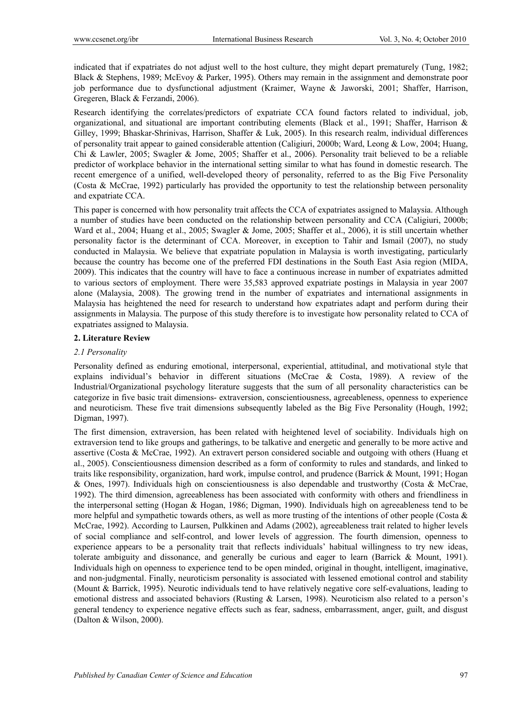indicated that if expatriates do not adjust well to the host culture, they might depart prematurely (Tung, 1982; Black & Stephens, 1989; McEvoy & Parker, 1995). Others may remain in the assignment and demonstrate poor job performance due to dysfunctional adjustment (Kraimer, Wayne & Jaworski, 2001; Shaffer, Harrison, Gregeren, Black & Ferzandi, 2006).

Research identifying the correlates/predictors of expatriate CCA found factors related to individual, job, organizational, and situational are important contributing elements (Black et al., 1991; Shaffer, Harrison  $\&$ Gilley, 1999; Bhaskar-Shrinivas, Harrison, Shaffer & Luk, 2005). In this research realm, individual differences of personality trait appear to gained considerable attention (Caligiuri, 2000b; Ward, Leong & Low, 2004; Huang, Chi & Lawler, 2005; Swagler & Jome, 2005; Shaffer et al., 2006). Personality trait believed to be a reliable predictor of workplace behavior in the international setting similar to what has found in domestic research. The recent emergence of a unified, well-developed theory of personality, referred to as the Big Five Personality (Costa & McCrae, 1992) particularly has provided the opportunity to test the relationship between personality and expatriate CCA.

This paper is concerned with how personality trait affects the CCA of expatriates assigned to Malaysia. Although a number of studies have been conducted on the relationship between personality and CCA (Caligiuri, 2000b; Ward et al., 2004; Huang et al., 2005; Swagler & Jome, 2005; Shaffer et al., 2006), it is still uncertain whether personality factor is the determinant of CCA. Moreover, in exception to Tahir and Ismail (2007), no study conducted in Malaysia. We believe that expatriate population in Malaysia is worth investigating, particularly because the country has become one of the preferred FDI destinations in the South East Asia region (MIDA, 2009). This indicates that the country will have to face a continuous increase in number of expatriates admitted to various sectors of employment. There were 35,583 approved expatriate postings in Malaysia in year 2007 alone (Malaysia, 2008). The growing trend in the number of expatriates and international assignments in Malaysia has heightened the need for research to understand how expatriates adapt and perform during their assignments in Malaysia. The purpose of this study therefore is to investigate how personality related to CCA of expatriates assigned to Malaysia.

## **2. Literature Review**

## *2.1 Personality*

Personality defined as enduring emotional, interpersonal, experiential, attitudinal, and motivational style that explains individual's behavior in different situations (McCrae & Costa, 1989). A review of the Industrial/Organizational psychology literature suggests that the sum of all personality characteristics can be categorize in five basic trait dimensions- extraversion, conscientiousness, agreeableness, openness to experience and neuroticism. These five trait dimensions subsequently labeled as the Big Five Personality (Hough, 1992; Digman, 1997).

The first dimension, extraversion, has been related with heightened level of sociability. Individuals high on extraversion tend to like groups and gatherings, to be talkative and energetic and generally to be more active and assertive (Costa & McCrae, 1992). An extravert person considered sociable and outgoing with others (Huang et al., 2005). Conscientiousness dimension described as a form of conformity to rules and standards, and linked to traits like responsibility, organization, hard work, impulse control, and prudence (Barrick & Mount, 1991; Hogan & Ones, 1997). Individuals high on conscientiousness is also dependable and trustworthy (Costa & McCrae, 1992). The third dimension, agreeableness has been associated with conformity with others and friendliness in the interpersonal setting (Hogan & Hogan, 1986; Digman, 1990). Individuals high on agreeableness tend to be more helpful and sympathetic towards others, as well as more trusting of the intentions of other people (Costa  $\&$ McCrae, 1992). According to Laursen, Pulkkinen and Adams (2002), agreeableness trait related to higher levels of social compliance and self-control, and lower levels of aggression. The fourth dimension, openness to experience appears to be a personality trait that reflects individuals' habitual willingness to try new ideas, tolerate ambiguity and dissonance, and generally be curious and eager to learn (Barrick & Mount, 1991). Individuals high on openness to experience tend to be open minded, original in thought, intelligent, imaginative, and non-judgmental. Finally, neuroticism personality is associated with lessened emotional control and stability (Mount & Barrick, 1995). Neurotic individuals tend to have relatively negative core self-evaluations, leading to emotional distress and associated behaviors (Rusting & Larsen, 1998). Neuroticism also related to a person's general tendency to experience negative effects such as fear, sadness, embarrassment, anger, guilt, and disgust (Dalton & Wilson, 2000).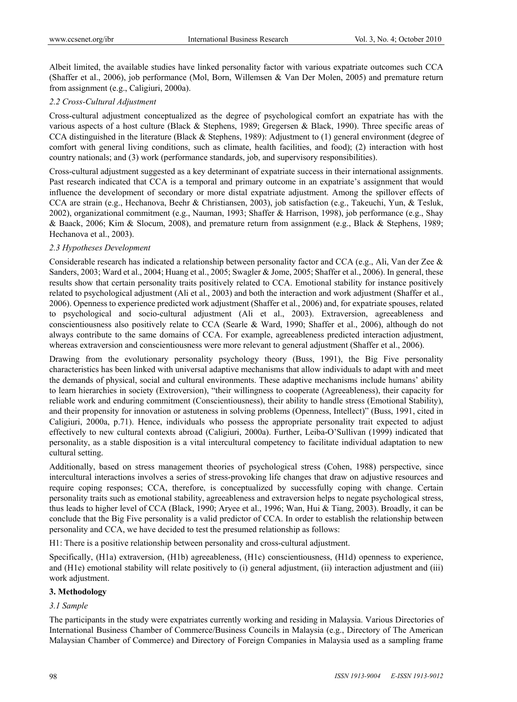Albeit limited, the available studies have linked personality factor with various expatriate outcomes such CCA (Shaffer et al., 2006), job performance (Mol, Born, Willemsen & Van Der Molen, 2005) and premature return from assignment (e.g., Caligiuri, 2000a).

## *2.2 Cross-Cultural Adjustment*

Cross-cultural adjustment conceptualized as the degree of psychological comfort an expatriate has with the various aspects of a host culture (Black & Stephens, 1989; Gregersen & Black, 1990). Three specific areas of CCA distinguished in the literature (Black & Stephens, 1989): Adjustment to (1) general environment (degree of comfort with general living conditions, such as climate, health facilities, and food); (2) interaction with host country nationals; and (3) work (performance standards, job, and supervisory responsibilities).

Cross-cultural adjustment suggested as a key determinant of expatriate success in their international assignments. Past research indicated that CCA is a temporal and primary outcome in an expatriate's assignment that would influence the development of secondary or more distal expatriate adjustment. Among the spillover effects of CCA are strain (e.g., Hechanova, Beehr & Christiansen, 2003), job satisfaction (e.g., Takeuchi, Yun, & Tesluk, 2002), organizational commitment (e.g., Nauman, 1993; Shaffer & Harrison, 1998), job performance (e.g., Shay & Baack, 2006; Kim & Slocum, 2008), and premature return from assignment (e.g., Black & Stephens, 1989; Hechanova et al., 2003).

## *2.3 Hypotheses Development*

Considerable research has indicated a relationship between personality factor and CCA (e.g., Ali, Van der Zee & Sanders, 2003; Ward et al., 2004; Huang et al., 2005; Swagler & Jome, 2005; Shaffer et al., 2006). In general, these results show that certain personality traits positively related to CCA. Emotional stability for instance positively related to psychological adjustment (Ali et al., 2003) and both the interaction and work adjustment (Shaffer et al., 2006). Openness to experience predicted work adjustment (Shaffer et al., 2006) and, for expatriate spouses, related to psychological and socio-cultural adjustment (Ali et al., 2003). Extraversion, agreeableness and conscientiousness also positively relate to CCA (Searle & Ward, 1990; Shaffer et al., 2006), although do not always contribute to the same domains of CCA. For example, agreeableness predicted interaction adjustment, whereas extraversion and conscientiousness were more relevant to general adjustment (Shaffer et al., 2006).

Drawing from the evolutionary personality psychology theory (Buss, 1991), the Big Five personality characteristics has been linked with universal adaptive mechanisms that allow individuals to adapt with and meet the demands of physical, social and cultural environments. These adaptive mechanisms include humans' ability to learn hierarchies in society (Extroversion), "their willingness to cooperate (Agreeableness), their capacity for reliable work and enduring commitment (Conscientiousness), their ability to handle stress (Emotional Stability), and their propensity for innovation or astuteness in solving problems (Openness, Intellect)" (Buss, 1991, cited in Caligiuri, 2000a, p.71). Hence, individuals who possess the appropriate personality trait expected to adjust effectively to new cultural contexts abroad (Caligiuri, 2000a). Further, Leiba-O'Sullivan (1999) indicated that personality, as a stable disposition is a vital intercultural competency to facilitate individual adaptation to new cultural setting.

Additionally, based on stress management theories of psychological stress (Cohen, 1988) perspective, since intercultural interactions involves a series of stress-provoking life changes that draw on adjustive resources and require coping responses; CCA, therefore, is conceptualized by successfully coping with change. Certain personality traits such as emotional stability, agreeableness and extraversion helps to negate psychological stress, thus leads to higher level of CCA (Black, 1990; Aryee et al., 1996; Wan, Hui & Tiang, 2003). Broadly, it can be conclude that the Big Five personality is a valid predictor of CCA. In order to establish the relationship between personality and CCA, we have decided to test the presumed relationship as follows:

H1: There is a positive relationship between personality and cross-cultural adjustment.

Specifically, (H1a) extraversion, (H1b) agreeableness, (H1c) conscientiousness, (H1d) openness to experience, and (H1e) emotional stability will relate positively to (i) general adjustment, (ii) interaction adjustment and (iii) work adjustment.

### **3. Methodology**

### *3.1 Sample*

The participants in the study were expatriates currently working and residing in Malaysia. Various Directories of International Business Chamber of Commerce/Business Councils in Malaysia (e.g., Directory of The American Malaysian Chamber of Commerce) and Directory of Foreign Companies in Malaysia used as a sampling frame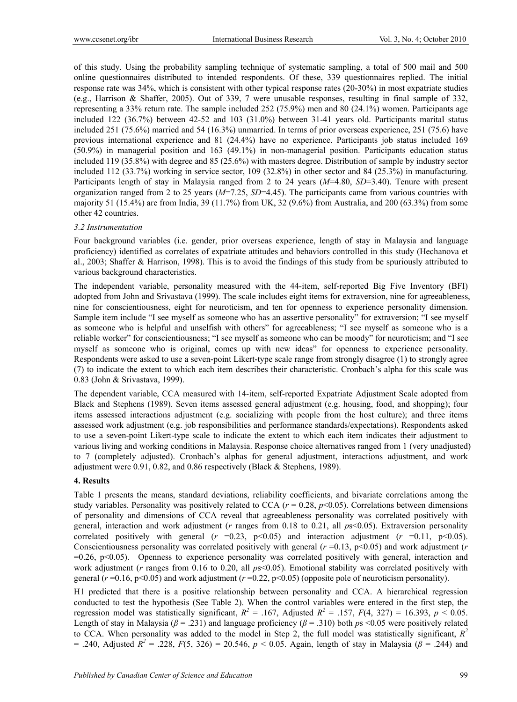of this study. Using the probability sampling technique of systematic sampling, a total of 500 mail and 500 online questionnaires distributed to intended respondents. Of these, 339 questionnaires replied. The initial response rate was 34%, which is consistent with other typical response rates (20-30%) in most expatriate studies (e.g., Harrison & Shaffer, 2005). Out of 339, 7 were unusable responses, resulting in final sample of 332, representing a 33% return rate. The sample included 252 (75.9%) men and 80 (24.1%) women. Participants age included 122 (36.7%) between 42-52 and 103 (31.0%) between 31-41 years old. Participants marital status included 251 (75.6%) married and 54 (16.3%) unmarried. In terms of prior overseas experience, 251 (75.6) have previous international experience and 81 (24.4%) have no experience. Participants job status included 169 (50.9%) in managerial position and 163 (49.1%) in non-managerial position. Participants education status included 119 (35.8%) with degree and 85 (25.6%) with masters degree. Distribution of sample by industry sector included 112 (33.7%) working in service sector, 109 (32.8%) in other sector and 84 (25.3%) in manufacturing. Participants length of stay in Malaysia ranged from 2 to 24 years (*M*=4.80, *SD*=3.40). Tenure with present organization ranged from 2 to 25 years (*M*=7.25, *SD*=4.45). The participants came from various countries with majority 51 (15.4%) are from India, 39 (11.7%) from UK, 32 (9.6%) from Australia, and 200 (63.3%) from some other 42 countries.

### *3.2 Instrumentation*

Four background variables (i.e. gender, prior overseas experience, length of stay in Malaysia and language proficiency) identified as correlates of expatriate attitudes and behaviors controlled in this study (Hechanova et al., 2003; Shaffer & Harrison, 1998). This is to avoid the findings of this study from be spuriously attributed to various background characteristics.

The independent variable, personality measured with the 44-item, self-reported Big Five Inventory (BFI) adopted from John and Srivastava (1999). The scale includes eight items for extraversion, nine for agreeableness, nine for conscientiousness, eight for neuroticism, and ten for openness to experience personality dimension. Sample item include "I see myself as someone who has an assertive personality" for extraversion; "I see myself as someone who is helpful and unselfish with others" for agreeableness; "I see myself as someone who is a reliable worker" for conscientiousness; "I see myself as someone who can be moody" for neuroticism; and "I see myself as someone who is original, comes up with new ideas" for openness to experience personality. Respondents were asked to use a seven-point Likert-type scale range from strongly disagree (1) to strongly agree (7) to indicate the extent to which each item describes their characteristic. Cronbach's alpha for this scale was 0.83 (John & Srivastava, 1999).

The dependent variable, CCA measured with 14-item, self-reported Expatriate Adjustment Scale adopted from Black and Stephens (1989). Seven items assessed general adjustment (e.g. housing, food, and shopping); four items assessed interactions adjustment (e.g. socializing with people from the host culture); and three items assessed work adjustment (e.g. job responsibilities and performance standards/expectations). Respondents asked to use a seven-point Likert-type scale to indicate the extent to which each item indicates their adjustment to various living and working conditions in Malaysia. Response choice alternatives ranged from 1 (very unadjusted) to 7 (completely adjusted). Cronbach's alphas for general adjustment, interactions adjustment, and work adjustment were 0.91, 0.82, and 0.86 respectively (Black & Stephens, 1989).

### **4. Results**

Table 1 presents the means, standard deviations, reliability coefficients, and bivariate correlations among the study variables. Personality was positively related to CCA  $(r = 0.28, p < 0.05)$ . Correlations between dimensions of personality and dimensions of CCA reveal that agreeableness personality was correlated positively with general, interaction and work adjustment (*r* ranges from 0.18 to 0.21, all *p*s<0.05). Extraversion personality correlated positively with general  $(r = 0.23, p < 0.05)$  and interaction adjustment  $(r = 0.11, p < 0.05)$ . Conscientiousness personality was correlated positively with general  $(r=0.13, p<0.05)$  and work adjustment  $(r$  $=0.26$ , p $\leq 0.05$ ). Openness to experience personality was correlated positively with general, interaction and work adjustment (*r* ranges from 0.16 to 0.20, all *ps*<0.05). Emotional stability was correlated positively with general ( $r = 0.16$ , p<0.05) and work adjustment ( $r = 0.22$ , p<0.05) (opposite pole of neuroticism personality).

H1 predicted that there is a positive relationship between personality and CCA. A hierarchical regression conducted to test the hypothesis (See Table 2). When the control variables were entered in the first step, the regression model was statistically significant,  $R^2 = .167$ , Adjusted  $R^2 = .157$ ,  $F(4, 327) = 16.393$ ,  $p < 0.05$ . Length of stay in Malaysia ( $\beta$  = .231) and language proficiency ( $\beta$  = .310) both *ps* <0.05 were positively related to CCA. When personality was added to the model in Step 2, the full model was statistically significant,  $R^2$ = .240, Adjusted *R2* = .228, *F*(5, 326) = 20.546, *p* < 0.05. Again, length of stay in Malaysia (*β* = .244) and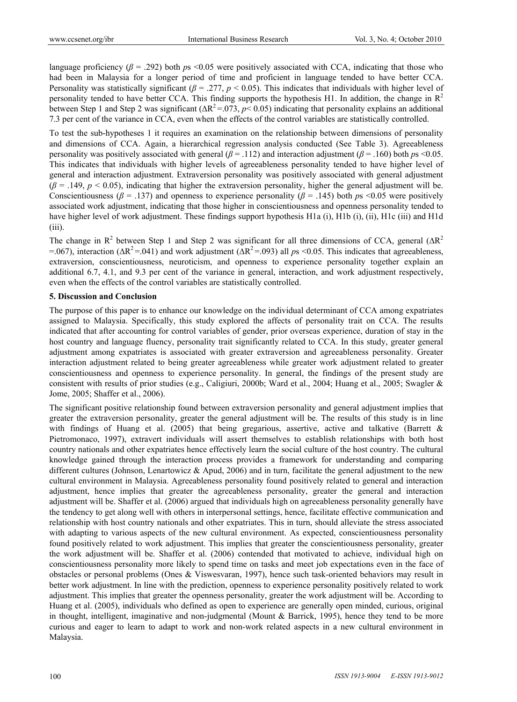language proficiency ( $\beta$  = .292) both  $p_s$  <0.05 were positively associated with CCA, indicating that those who had been in Malaysia for a longer period of time and proficient in language tended to have better CCA. Personality was statistically significant ( $\beta = .277$ ,  $p < 0.05$ ). This indicates that individuals with higher level of personality tended to have better CCA. This finding supports the hypothesis H1. In addition, the change in  $\mathbb{R}^2$ between Step 1 and Step 2 was significant ( $\Delta R^2 = 0.073$ ,  $p < 0.05$ ) indicating that personality explains an additional 7.3 per cent of the variance in CCA, even when the effects of the control variables are statistically controlled.

To test the sub-hypotheses 1 it requires an examination on the relationship between dimensions of personality and dimensions of CCA. Again, a hierarchical regression analysis conducted (See Table 3). Agreeableness personality was positively associated with general  $(\beta = .112)$  and interaction adjustment  $(\beta = .160)$  both *ps* <0.05. This indicates that individuals with higher levels of agreeableness personality tended to have higher level of general and interaction adjustment. Extraversion personality was positively associated with general adjustment  $(\beta = .149, p < 0.05)$ , indicating that higher the extraversion personality, higher the general adjustment will be. Conscientiousness ( $\beta$  = .137) and openness to experience personality ( $\beta$  = .145) both *ps* <0.05 were positively associated work adjustment, indicating that those higher in conscientiousness and openness personality tended to have higher level of work adjustment. These findings support hypothesis H1a (i), H1b (i), (ii), H1c (iii) and H1d (iii).

The change in  $R^2$  between Step 1 and Step 2 was significant for all three dimensions of CCA, general ( $\Delta R^2$  $=0.067$ ), interaction ( $\Delta R^2 = 0.041$ ) and work adjustment ( $\Delta R^2 = 0.093$ ) all *ps* <0.05. This indicates that agreeableness, extraversion, conscientiousness, neuroticism, and openness to experience personality together explain an additional 6.7, 4.1, and 9.3 per cent of the variance in general, interaction, and work adjustment respectively, even when the effects of the control variables are statistically controlled.

### **5. Discussion and Conclusion**

The purpose of this paper is to enhance our knowledge on the individual determinant of CCA among expatriates assigned to Malaysia. Specifically, this study explored the affects of personality trait on CCA. The results indicated that after accounting for control variables of gender, prior overseas experience, duration of stay in the host country and language fluency, personality trait significantly related to CCA. In this study, greater general adjustment among expatriates is associated with greater extraversion and agreeableness personality. Greater interaction adjustment related to being greater agreeableness while greater work adjustment related to greater conscientiousness and openness to experience personality. In general, the findings of the present study are consistent with results of prior studies (e.g., Caligiuri, 2000b; Ward et al., 2004; Huang et al., 2005; Swagler & Jome, 2005; Shaffer et al., 2006).

The significant positive relationship found between extraversion personality and general adjustment implies that greater the extraversion personality, greater the general adjustment will be. The results of this study is in line with findings of Huang et al. (2005) that being gregarious, assertive, active and talkative (Barrett & Pietromonaco, 1997), extravert individuals will assert themselves to establish relationships with both host country nationals and other expatriates hence effectively learn the social culture of the host country. The cultural knowledge gained through the interaction process provides a framework for understanding and comparing different cultures (Johnson, Lenartowicz & Apud, 2006) and in turn, facilitate the general adjustment to the new cultural environment in Malaysia. Agreeableness personality found positively related to general and interaction adjustment, hence implies that greater the agreeableness personality, greater the general and interaction adjustment will be. Shaffer et al. (2006) argued that individuals high on agreeableness personality generally have the tendency to get along well with others in interpersonal settings, hence, facilitate effective communication and relationship with host country nationals and other expatriates. This in turn, should alleviate the stress associated with adapting to various aspects of the new cultural environment. As expected, conscientiousness personality found positively related to work adjustment. This implies that greater the conscientiousness personality, greater the work adjustment will be. Shaffer et al. (2006) contended that motivated to achieve, individual high on conscientiousness personality more likely to spend time on tasks and meet job expectations even in the face of obstacles or personal problems (Ones & Viswesvaran, 1997), hence such task-oriented behaviors may result in better work adjustment. In line with the prediction, openness to experience personality positively related to work adjustment. This implies that greater the openness personality, greater the work adjustment will be. According to Huang et al. (2005), individuals who defined as open to experience are generally open minded, curious, original in thought, intelligent, imaginative and non-judgmental (Mount & Barrick, 1995), hence they tend to be more curious and eager to learn to adapt to work and non-work related aspects in a new cultural environment in Malaysia.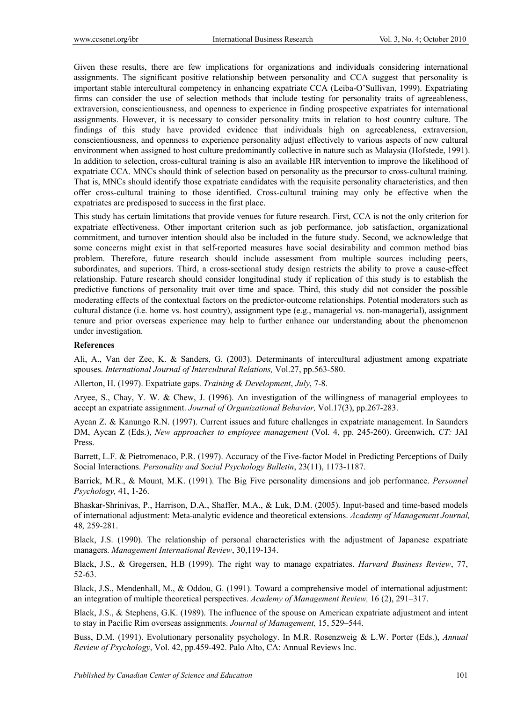Given these results, there are few implications for organizations and individuals considering international assignments. The significant positive relationship between personality and CCA suggest that personality is important stable intercultural competency in enhancing expatriate CCA (Leiba-O'Sullivan, 1999). Expatriating firms can consider the use of selection methods that include testing for personality traits of agreeableness, extraversion, conscientiousness, and openness to experience in finding prospective expatriates for international assignments. However, it is necessary to consider personality traits in relation to host country culture. The findings of this study have provided evidence that individuals high on agreeableness, extraversion, conscientiousness, and openness to experience personality adjust effectively to various aspects of new cultural environment when assigned to host culture predominantly collective in nature such as Malaysia (Hofstede, 1991). In addition to selection, cross-cultural training is also an available HR intervention to improve the likelihood of expatriate CCA. MNCs should think of selection based on personality as the precursor to cross-cultural training. That is, MNCs should identify those expatriate candidates with the requisite personality characteristics, and then offer cross-cultural training to those identified. Cross-cultural training may only be effective when the expatriates are predisposed to success in the first place.

This study has certain limitations that provide venues for future research. First, CCA is not the only criterion for expatriate effectiveness. Other important criterion such as job performance, job satisfaction, organizational commitment, and turnover intention should also be included in the future study. Second, we acknowledge that some concerns might exist in that self-reported measures have social desirability and common method bias problem. Therefore, future research should include assessment from multiple sources including peers, subordinates, and superiors. Third, a cross-sectional study design restricts the ability to prove a cause-effect relationship. Future research should consider longitudinal study if replication of this study is to establish the predictive functions of personality trait over time and space. Third, this study did not consider the possible moderating effects of the contextual factors on the predictor-outcome relationships. Potential moderators such as cultural distance (i.e. home vs. host country), assignment type (e.g., managerial vs. non-managerial), assignment tenure and prior overseas experience may help to further enhance our understanding about the phenomenon under investigation.

## **References**

Ali, A., Van der Zee, K. & Sanders, G. (2003). Determinants of intercultural adjustment among expatriate spouses. *International Journal of Intercultural Relations,* Vol.27, pp.563-580.

Allerton, H. (1997). Expatriate gaps. *Training & Development*, *July*, 7-8.

Aryee, S., Chay, Y. W. & Chew, J. (1996). An investigation of the willingness of managerial employees to accept an expatriate assignment. *Journal of Organizational Behavior,* Vol.17(3), pp.267-283.

Aycan Z. & Kanungo R.N. (1997). Current issues and future challenges in expatriate management. In Saunders DM, Aycan Z (Eds.), *New approaches to employee management* (Vol. 4, pp. 245-260). Greenwich, *CT:* JAI Press.

Barrett, L.F. & Pietromenaco, P.R. (1997). Accuracy of the Five-factor Model in Predicting Perceptions of Daily Social Interactions. *Personality and Social Psychology Bulletin*, 23(11), 1173-1187.

Barrick, M.R., & Mount, M.K. (1991). The Big Five personality dimensions and job performance. *Personnel Psychology,* 41, 1-26.

Bhaskar-Shrinivas, P., Harrison, D.A., Shaffer, M.A., & Luk, D.M. (2005). Input-based and time-based models of international adjustment: Meta-analytic evidence and theoretical extensions. *Academy of Management Journal,*  48*,* 259-281.

Black, J.S. (1990). The relationship of personal characteristics with the adjustment of Japanese expatriate managers. *Management International Review*, 30,119-134.

Black, J.S., & Gregersen, H.B (1999). The right way to manage expatriates. *Harvard Business Review*, 77, 52-63.

Black, J.S., Mendenhall, M., & Oddou, G. (1991). Toward a comprehensive model of international adjustment: an integration of multiple theoretical perspectives. *Academy of Management Review,* 16 (2), 291–317.

Black, J.S., & Stephens, G.K. (1989). The influence of the spouse on American expatriate adjustment and intent to stay in Pacific Rim overseas assignments. *Journal of Management,* 15, 529–544.

Buss, D.M. (1991). Evolutionary personality psychology. In M.R. Rosenzweig & L.W. Porter (Eds.), *Annual Review of Psychology*, Vol. 42, pp.459-492. Palo Alto, CA: Annual Reviews Inc.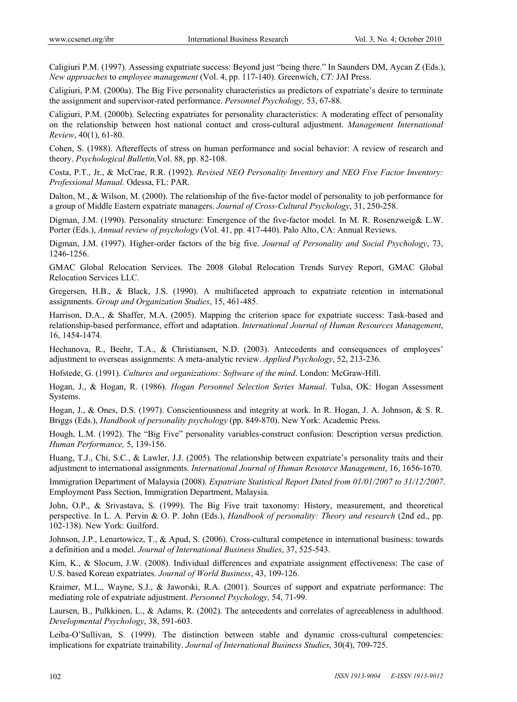Caligiuri P.M. (1997). Assessing expatriate success: Beyond just "being there." In Saunders DM, Aycan Z (Eds.), *New approaches* to *employee management* (Vol. 4, pp. 117-140). Greenwich, *CT:* JAI Press.

Caligiuri, P.M. (2000a). The Big Five personality characteristics as predictors of expatriate's desire to terminate the assignment and supervisor-rated performance. *Personnel Psychology,* 53, 67-88.

Caligiuri, P.M. (2000b). Selecting expatriates for personality characteristics: A moderating effect of personality on the relationship between host national contact and cross-cultural adjustment. *Management International Review*, 40(1), 61-80.

Cohen, S. (1988). Aftereffects of stress on human performance and social behavior: A review of research and theory. *Psychological Bulletin,*Vol. 88, pp. 82-108.

Costa, P.T., Jr., & McCrae, R.R. (1992). *Revised NEO Personality Inventory and NEO Five Factor Inventory: Professional Manual.* Odessa, FL: PAR.

Dalton, M., & Wilson, M. (2000). The relationship of the five-factor model of personality to job performance for a group of Middle Eastern expatriate managers. *Journal of Cross-Cultural Psychology*, 31, 250-258.

Digman, J.M. (1990). Personality structure: Emergence of the five-factor model. In M. R. Rosenzweig& L.W. Porter (Eds.), *Annual review of psychology* (Vol. 41, pp. 417-440). Palo Alto, CA: Annual Reviews.

Digman, J.M. (1997). Higher-order factors of the big five. *Journal of Personality and Social Psychology*, 73, 1246-1256.

GMAC Global Relocation Services. The 2008 Global Relocation Trends Survey Report, GMAC Global Relocation Services LLC.

Gregersen, H.B., & Black, J.S. (1990). A multifaceted approach to expatriate retention in international assignments. *Group and Organization Studies*, 15, 461-485.

Harrison, D.A., & Shaffer, M.A. (2005). Mapping the criterion space for expatriate success: Task-based and relationship-based performance, effort and adaptation. *International Journal of Human Resources Management*, 16, 1454-1474.

Hechanova, R., Beehr, T.A., & Christiansen, N.D. (2003). Antecedents and consequences of employees' adjustment to overseas assignments: A meta-analytic review. *Applied Psychology*, 52, 213-236.

Hofstede, G. (1991). *Cultures and organizations: Software of the mind*. London: McGraw-Hill.

Hogan, J., & Hogan, R. (1986). *Hogan Personnel Selection Series Manual*. Tulsa, OK: Hogan Assessment Systems.

Hogan, J., & Ones, D.S. (1997). Conscientiousness and integrity at work. In R. Hogan, J. A. Johnson, & S. R. Briggs (Eds.), *Handbook of personality psychology* (pp. 849-870). New York: Academic Press.

Hough, L.M. (1992). The "Big Five" personality variables-construct confusion: Description versus prediction. *Human Performance,* 5, 139-156.

Huang, T.J., Chi, S.C., & Lawler, J.J. (2005). The relationship between expatriate's personality traits and their adjustment to international assignments. *International Journal of Human Resource Management*, 16, 1656-1670.

Immigration Department of Malaysia (2008). *Expatriate Statistical Report Dated from 01/01/2007 to 31/12/2007*. Employment Pass Section, Immigration Department, Malaysia.

John, O.P., & Srivastava, S. (1999). The Big Five trait taxonomy: History, measurement, and theoretical perspective. In L. A. Pervin & O. P. John (Eds.), *Handbook of personality: Theory and research* (2nd ed., pp. 102-138). New York: Guilford.

Johnson, J.P., Lenartowicz, T., & Apud, S. (2006). Cross-cultural competence in international business: towards a definition and a model. *Journal of International Business Studies*, 37, 525-543.

Kim, K., & Slocum, J.W. (2008). Individual differences and expatriate assignment effectiveness: The case of U.S. based Korean expatriates. *Journal of World Business*, 43, 109-126.

Kraimer, M.L., Wayne, S.J., & Jaworski, R.A. (2001). Sources of support and expatriate performance: The mediating role of expatriate adjustment. *Personnel Psychology,* 54, 71-99.

Laursen, B., Pulkkinen, L., & Adams, R. (2002). The antecedents and correlates of agreeableness in adulthood. *Developmental Psychology*, 38, 591-603.

Leiba-O'Sullivan, S. (1999). The distinction between stable and dynamic cross-cultural competencies: implications for expatriate trainability. *Journal of International Business Studies*, 30(4), 709-725.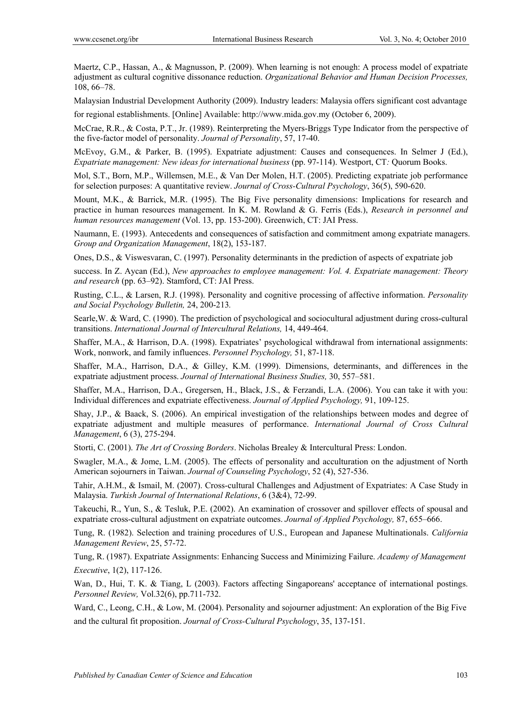Maertz, C.P., Hassan, A., & Magnusson, P. (2009). When learning is not enough: A process model of expatriate adjustment as cultural cognitive dissonance reduction. *Organizational Behavior and Human Decision Processes,* 108, 66–78.

Malaysian Industrial Development Authority (2009). Industry leaders: Malaysia offers significant cost advantage

for regional establishments. [Online] Available: http://www.mida.gov.my (October 6, 2009).

McCrae, R.R., & Costa, P.T., Jr. (1989). Reinterpreting the Myers-Briggs Type Indicator from the perspective of the five-factor model of personality. *Journal of Personality*, 57, 17-40.

McEvoy, G.M., & Parker, B. (1995). Expatriate adjustment: Causes and consequences. In Selmer J (Ed.), *Expatriate management: New ideas for international business* (pp. 97-114). Westport, CT*:* Quorum Books.

Mol, S.T., Born, M.P., Willemsen, M.E., & Van Der Molen, H.T. (2005). Predicting expatriate job performance for selection purposes: A quantitative review. *Journal of Cross-Cultural Psychology*, 36(5), 590-620.

Mount, M.K., & Barrick, M.R. (1995). The Big Five personality dimensions: Implications for research and practice in human resources management. In K. M. Rowland & G. Ferris (Eds.), *Research in personnel and human resources management* (Vol. 13, pp. 153-200). Greenwich, CT: JAI Press.

Naumann, E. (1993). Antecedents and consequences of satisfaction and commitment among expatriate managers. *Group and Organization Management*, 18(2), 153-187.

Ones, D.S., & Viswesvaran, C. (1997). Personality determinants in the prediction of aspects of expatriate job

success. In Z. Aycan (Ed.), *New approaches to employee management: Vol. 4. Expatriate management: Theory and research* (pp. 63–92). Stamford, CT: JAI Press.

Rusting, C.L., & Larsen, R.J. (1998). Personality and cognitive processing of affective information. *Personality and Social Psychology Bulletin,* 24, 200-213*.* 

Searle,W. & Ward, C. (1990). The prediction of psychological and sociocultural adjustment during cross-cultural transitions. *International Journal of Intercultural Relations,* 14, 449-464.

Shaffer, M.A., & Harrison, D.A. (1998). Expatriates' psychological withdrawal from international assignments: Work, nonwork, and family influences. *Personnel Psychology,* 51, 87-118.

Shaffer, M.A., Harrison, D.A., & Gilley, K.M. (1999). Dimensions, determinants, and differences in the expatriate adjustment process. *Journal of International Business Studies,* 30, 557–581.

Shaffer, M.A., Harrison, D.A., Gregersen, H., Black, J.S., & Ferzandi, L.A. (2006). You can take it with you: Individual differences and expatriate effectiveness. *Journal of Applied Psychology,* 91, 109-125.

Shay, J.P., & Baack, S. (2006). An empirical investigation of the relationships between modes and degree of expatriate adjustment and multiple measures of performance. *International Journal of Cross Cultural Management*, 6 (3), 275-294.

Storti, C. (2001). *The Art of Crossing Borders*. Nicholas Brealey & Intercultural Press: London.

Swagler, M.A., & Jome, L.M. (2005). The effects of personality and acculturation on the adjustment of North American sojourners in Taiwan. *Journal of Counseling Psychology*, 52 (4), 527-536.

Tahir, A.H.M., & Ismail, M. (2007). Cross-cultural Challenges and Adjustment of Expatriates: A Case Study in Malaysia. *Turkish Journal of International Relations*, 6 (3&4), 72-99.

Takeuchi, R., Yun, S., & Tesluk, P.E. (2002). An examination of crossover and spillover effects of spousal and expatriate cross-cultural adjustment on expatriate outcomes. *Journal of Applied Psychology,* 87, 655–666.

Tung, R. (1982). Selection and training procedures of U.S., European and Japanese Multinationals. *California Management Review*, 25, 57-72.

Tung, R. (1987). Expatriate Assignments: Enhancing Success and Minimizing Failure. *Academy of Management Executive*, 1(2), 117-126.

Wan, D., Hui, T. K. & Tiang, L (2003). Factors affecting Singaporeans' acceptance of international postings. *Personnel Review,* Vol.32(6), pp.711-732.

Ward, C., Leong, C.H., & Low, M. (2004). Personality and sojourner adjustment: An exploration of the Big Five and the cultural fit proposition. *Journal of Cross-Cultural Psychology*, 35, 137-151.